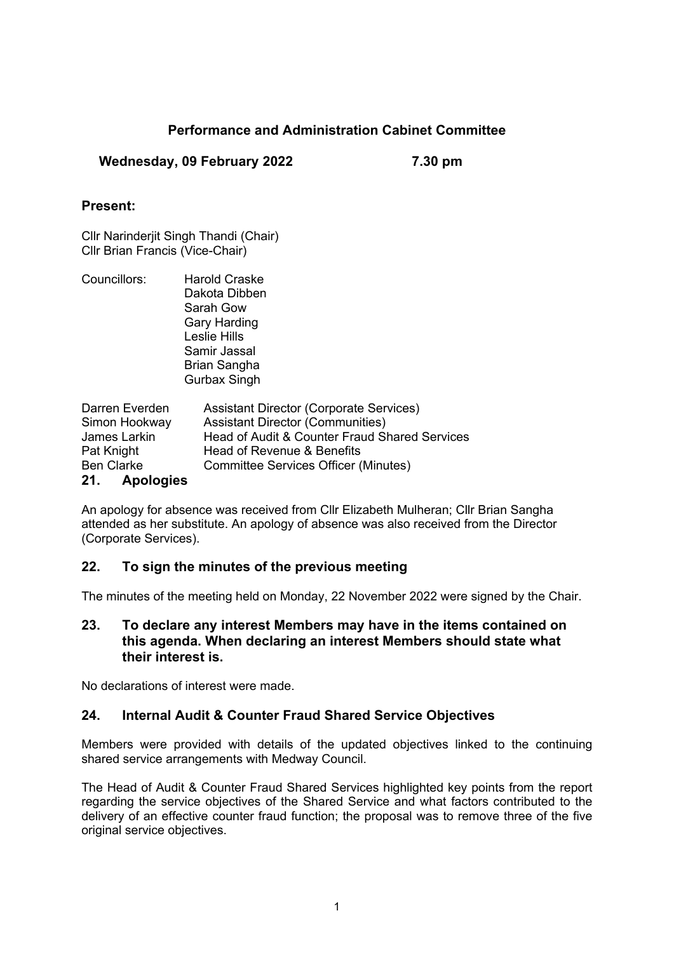# **Performance and Administration Cabinet Committee**

### **Wednesday, 09 February 2022 7.30 pm**

### **Present:**

Cllr Narinderjit Singh Thandi (Chair) Cllr Brian Francis (Vice-Chair)

Councillors: Harold Craske Dakota Dibben Sarah Gow Gary Harding Leslie Hills Samir Jassal Brian Sangha Gurbax Singh

| Darren Everden    | <b>Assistant Director (Corporate Services)</b> |
|-------------------|------------------------------------------------|
| Simon Hookway     | <b>Assistant Director (Communities)</b>        |
| James Larkin      | Head of Audit & Counter Fraud Shared Services  |
| Pat Knight        | Head of Revenue & Benefits                     |
| <b>Ben Clarke</b> | <b>Committee Services Officer (Minutes)</b>    |
| 21. Apologies     |                                                |

An apology for absence was received from Cllr Elizabeth Mulheran; Cllr Brian Sangha attended as her substitute. An apology of absence was also received from the Director (Corporate Services).

## **22. To sign the minutes of the previous meeting**

The minutes of the meeting held on Monday, 22 November 2022 were signed by the Chair.

#### **23. To declare any interest Members may have in the items contained on this agenda. When declaring an interest Members should state what their interest is.**

No declarations of interest were made.

## **24. Internal Audit & Counter Fraud Shared Service Objectives**

Members were provided with details of the updated objectives linked to the continuing shared service arrangements with Medway Council.

The Head of Audit & Counter Fraud Shared Services highlighted key points from the report regarding the service objectives of the Shared Service and what factors contributed to the delivery of an effective counter fraud function; the proposal was to remove three of the five original service objectives.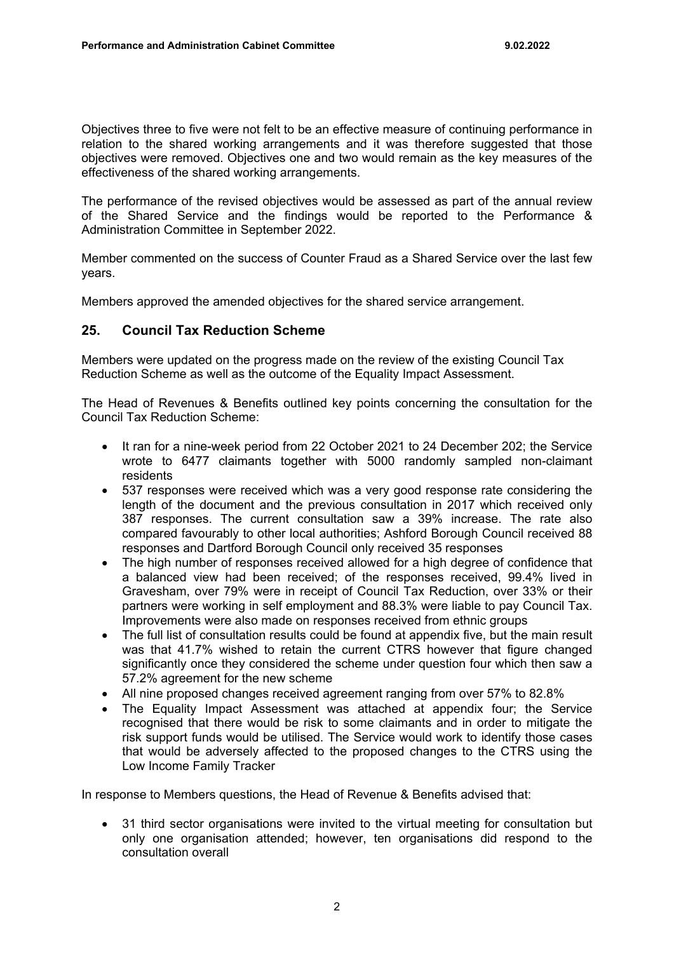Objectives three to five were not felt to be an effective measure of continuing performance in relation to the shared working arrangements and it was therefore suggested that those objectives were removed. Objectives one and two would remain as the key measures of the effectiveness of the shared working arrangements.

The performance of the revised objectives would be assessed as part of the annual review of the Shared Service and the findings would be reported to the Performance & Administration Committee in September 2022.

Member commented on the success of Counter Fraud as a Shared Service over the last few years.

Members approved the amended objectives for the shared service arrangement.

### **25. Council Tax Reduction Scheme**

Members were updated on the progress made on the review of the existing Council Tax Reduction Scheme as well as the outcome of the Equality Impact Assessment.

The Head of Revenues & Benefits outlined key points concerning the consultation for the Council Tax Reduction Scheme:

- It ran for a nine-week period from 22 October 2021 to 24 December 202; the Service wrote to 6477 claimants together with 5000 randomly sampled non-claimant residents
- 537 responses were received which was a very good response rate considering the length of the document and the previous consultation in 2017 which received only 387 responses. The current consultation saw a 39% increase. The rate also compared favourably to other local authorities; Ashford Borough Council received 88 responses and Dartford Borough Council only received 35 responses
- The high number of responses received allowed for a high degree of confidence that a balanced view had been received; of the responses received, 99.4% lived in Gravesham, over 79% were in receipt of Council Tax Reduction, over 33% or their partners were working in self employment and 88.3% were liable to pay Council Tax. Improvements were also made on responses received from ethnic groups
- The full list of consultation results could be found at appendix five, but the main result was that 41.7% wished to retain the current CTRS however that figure changed significantly once they considered the scheme under question four which then saw a 57.2% agreement for the new scheme
- All nine proposed changes received agreement ranging from over 57% to 82.8%
- The Equality Impact Assessment was attached at appendix four; the Service recognised that there would be risk to some claimants and in order to mitigate the risk support funds would be utilised. The Service would work to identify those cases that would be adversely affected to the proposed changes to the CTRS using the Low Income Family Tracker

In response to Members questions, the Head of Revenue & Benefits advised that:

 31 third sector organisations were invited to the virtual meeting for consultation but only one organisation attended; however, ten organisations did respond to the consultation overall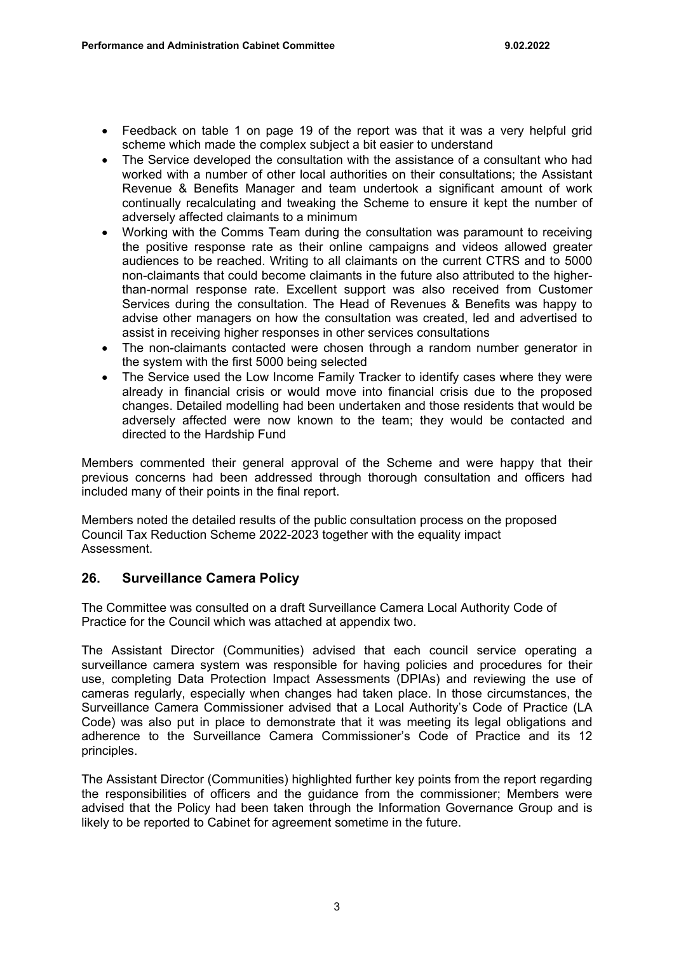- Feedback on table 1 on page 19 of the report was that it was a very helpful grid scheme which made the complex subject a bit easier to understand
- The Service developed the consultation with the assistance of a consultant who had worked with a number of other local authorities on their consultations; the Assistant Revenue & Benefits Manager and team undertook a significant amount of work continually recalculating and tweaking the Scheme to ensure it kept the number of adversely affected claimants to a minimum
- Working with the Comms Team during the consultation was paramount to receiving the positive response rate as their online campaigns and videos allowed greater audiences to be reached. Writing to all claimants on the current CTRS and to 5000 non-claimants that could become claimants in the future also attributed to the higherthan-normal response rate. Excellent support was also received from Customer Services during the consultation. The Head of Revenues & Benefits was happy to advise other managers on how the consultation was created, led and advertised to assist in receiving higher responses in other services consultations
- The non-claimants contacted were chosen through a random number generator in the system with the first 5000 being selected
- The Service used the Low Income Family Tracker to identify cases where they were already in financial crisis or would move into financial crisis due to the proposed changes. Detailed modelling had been undertaken and those residents that would be adversely affected were now known to the team; they would be contacted and directed to the Hardship Fund

Members commented their general approval of the Scheme and were happy that their previous concerns had been addressed through thorough consultation and officers had included many of their points in the final report.

Members noted the detailed results of the public consultation process on the proposed Council Tax Reduction Scheme 2022-2023 together with the equality impact Assessment.

## **26. Surveillance Camera Policy**

The Committee was consulted on a draft Surveillance Camera Local Authority Code of Practice for the Council which was attached at appendix two.

The Assistant Director (Communities) advised that each council service operating a surveillance camera system was responsible for having policies and procedures for their use, completing Data Protection Impact Assessments (DPIAs) and reviewing the use of cameras regularly, especially when changes had taken place. In those circumstances, the Surveillance Camera Commissioner advised that a Local Authority's Code of Practice (LA Code) was also put in place to demonstrate that it was meeting its legal obligations and adherence to the Surveillance Camera Commissioner's Code of Practice and its 12 principles.

The Assistant Director (Communities) highlighted further key points from the report regarding the responsibilities of officers and the guidance from the commissioner; Members were advised that the Policy had been taken through the Information Governance Group and is likely to be reported to Cabinet for agreement sometime in the future.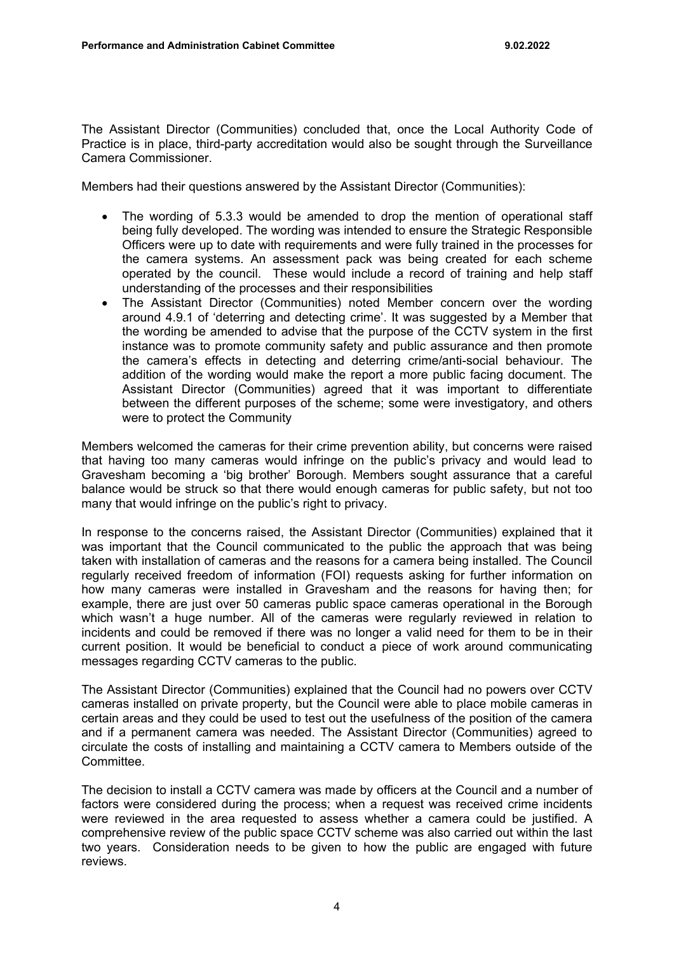The Assistant Director (Communities) concluded that, once the Local Authority Code of Practice is in place, third-party accreditation would also be sought through the Surveillance Camera Commissioner.

Members had their questions answered by the Assistant Director (Communities):

- The wording of 5.3.3 would be amended to drop the mention of operational staff being fully developed. The wording was intended to ensure the Strategic Responsible Officers were up to date with requirements and were fully trained in the processes for the camera systems. An assessment pack was being created for each scheme operated by the council. These would include a record of training and help staff understanding of the processes and their responsibilities
- The Assistant Director (Communities) noted Member concern over the wording around 4.9.1 of 'deterring and detecting crime'. It was suggested by a Member that the wording be amended to advise that the purpose of the CCTV system in the first instance was to promote community safety and public assurance and then promote the camera's effects in detecting and deterring crime/anti-social behaviour. The addition of the wording would make the report a more public facing document. The Assistant Director (Communities) agreed that it was important to differentiate between the different purposes of the scheme; some were investigatory, and others were to protect the Community

Members welcomed the cameras for their crime prevention ability, but concerns were raised that having too many cameras would infringe on the public's privacy and would lead to Gravesham becoming a 'big brother' Borough. Members sought assurance that a careful balance would be struck so that there would enough cameras for public safety, but not too many that would infringe on the public's right to privacy.

In response to the concerns raised, the Assistant Director (Communities) explained that it was important that the Council communicated to the public the approach that was being taken with installation of cameras and the reasons for a camera being installed. The Council regularly received freedom of information (FOI) requests asking for further information on how many cameras were installed in Gravesham and the reasons for having then; for example, there are just over 50 cameras public space cameras operational in the Borough which wasn't a huge number. All of the cameras were regularly reviewed in relation to incidents and could be removed if there was no longer a valid need for them to be in their current position. It would be beneficial to conduct a piece of work around communicating messages regarding CCTV cameras to the public.

The Assistant Director (Communities) explained that the Council had no powers over CCTV cameras installed on private property, but the Council were able to place mobile cameras in certain areas and they could be used to test out the usefulness of the position of the camera and if a permanent camera was needed. The Assistant Director (Communities) agreed to circulate the costs of installing and maintaining a CCTV camera to Members outside of the Committee.

The decision to install a CCTV camera was made by officers at the Council and a number of factors were considered during the process; when a request was received crime incidents were reviewed in the area requested to assess whether a camera could be justified. A comprehensive review of the public space CCTV scheme was also carried out within the last two years. Consideration needs to be given to how the public are engaged with future reviews.